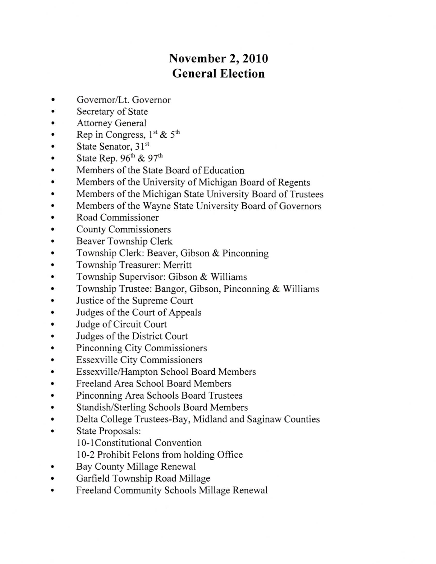## November 2,2010 General Election

- a Govemor/Lt. Governor
- a Secretary of State
- a Attorney General
- a Rep in Congress,  $1^{st}$  &  $5^{th}$
- a State Senator, 31st
- a State Rep.  $96^{\text{th}}$  &  $97^{\text{th}}$
- Members of the State Board of Education  $\bullet$
- a Members of the University of Michigan Board of Regents
- a Members of the Michigan State University Board of Trustees
- a Members of the Wayne State University Board of Govemors
- a Road Commissioner
- a County Commissioners
- a Beaver Township Clerk
- a Township Clerk: Beaver, Gibson & Pinconning
- Township Treasurer: Merritt
- a Township Supervisor: Gibson & Williams
- Township Trustee: Bangor, Gibson, Pinconning & Williams  $\bullet$
- a Justice of the Supreme Court
- a Judges of the Court of Appeals
- a Judge of Circuit Court
- a Judges of the District Court
- a Pinconning City Commissioners
- a Essexville City Commissioners
- a Essexville/Hampton School Board Members
- a Freeland Area School Board Members
- a Pinconning Area Schools Board Trustees
- a Standish/Sterling Schools Board Members
- a Delta College Trustees-Bay, Midland and Saginaw Counties
- State Proposals:
	- 10-1 Constitutional Convention
	- l0-2 Prohibit Felons from holding Office
- Bay County Millage Renewal a
- Garfield Township Road Millage a
- Freeland Community Schools Millage Renewal a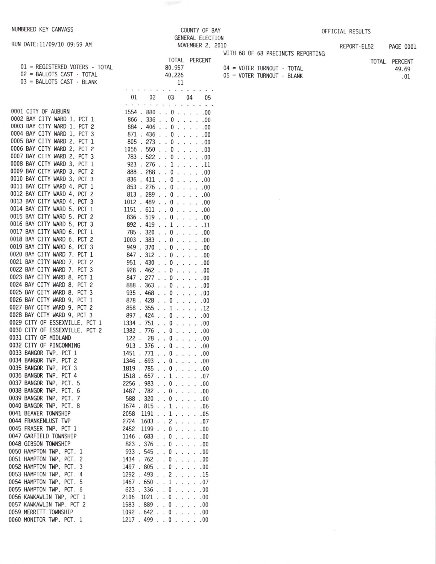RUN DATE:11/09/10 09:59 AM

01 = REGISTERED VOTERS - TOTAL

02 = BALLOTS CAST - TOTAL

03 = BALLOTS CAST - BLANK

 $\sim$ 

| REPORT-EL52 | <b>PAGE 0001</b> |  |
|-------------|------------------|--|

|  |                            | WITH 68 OF 68 PRECINCTS REPORTING |
|--|----------------------------|-----------------------------------|
|  | 04 = VOTER TURNOUT - TOTAL |                                   |
|  | 05 = VOTER TURNOUT - BLANK |                                   |

COUNTY OF BAY

NOVEMBER 2, 2010

GENERAL ELECTION

TOTAL PERCENT

80,957

40,226

| TOTAL PERCENT |
|---------------|
| 49.69         |
| .01           |

| 0001 CITY OF AUBURN                                        |
|------------------------------------------------------------|
| 0002 BAY CITY WARD 1, PCT 1                                |
| 0003 BAY CITY WARD 1, PCT<br>2                             |
| 0004 BAY CITY WARD 1, PCT 3                                |
| 0005 BAY CITY WARD 2, PCT 1                                |
| 0006 BAY CITY WARD 2, PCT 2                                |
| 0007 BAY CITY WARD 2, PCT 3                                |
| 0008 BAY CITY WARD 3, PCT<br>$1\,$                         |
| 0009 BAY CITY WARD 3, PCT 2                                |
| 0010 BAY CITY WARD 3, PCT 3                                |
| 0011 BAY CITY WARD 4, PCT 1<br>0012 BAY CITY WARD 4, PCT 2 |
|                                                            |
| 0013 BAY CITY WARD 4, PCT 3                                |
| 0014 BAY CITY WARD 5, PCT 1                                |
| 0015 BAY CITY WARD 5, PCT 2                                |
| 0016 BAY CITY WARD 5, PCT 3                                |
| 0017 BAY CITY WARD 6, PCT 1<br>0018 BAY CITY WARD 6, PCT 2 |
|                                                            |
| 0019 BAY CITY WARD 6, PCT 3<br>0020 BAY CITY WARD 7, PCT 1 |
| 0021 BAY CITY WARD 7, PCT 2                                |
| 0022 BAY CITY WARD 7, PCT 3                                |
| 0023 BAY CITY WARD 8, PCT 1                                |
| 0024 BAY CITY WARD 8, PCT 2                                |
| 0025 BAY CITY WARD 8, PCT<br>3                             |
| 0026 BAY CITY WARD 9, PCT 1                                |
| 0027 BAY CITY WARD 9, PCT 2                                |
| 0028 BAY CITY WARD 9, PCT 3                                |
| 0029 CITY OF ESSEXVILLE, PCT 1                             |
| 0030 CITY OF ESSEXVILLE, PCT 2<br>0031 CITY OF MIDLAND     |
| 0032 CITY OF PINCONNING                                    |
| 0033 BANGOR TWP, PCT 1                                     |
| 0034 BANGOR TWP, PCT 2                                     |
| 0035 BANGOR TWP, PCT 3                                     |
| 0036 BANGOR TWP, PCT 4                                     |
| 0037 BANGOR TWP, PCT. 5                                    |
| 0038 BANGOR TWP, PCT.<br>6                                 |
| 0039 BANGOR TWP, PCT. 7                                    |
| 0040 BANGOR TWP, PCT. 8                                    |
| 0041 BEAVER TOWNSHIP                                       |
| 0044 FRANKENLUST TWP<br>0045 FRASER TWP, PCT 1             |
| 0047 GARFIELD TOWNSHIP                                     |
| 0048 GIBSON TOWNSHIP                                       |
| 0050 HAMPTON TWP, PCT. 1                                   |
| 0051 HAMPTON TWP, PCT. 2                                   |
| 0052 HAMPTON TWP, PCT. 3                                   |
| 0053 HAMPTON TWP, PCT. 4                                   |
| 0054 HAMPTON TWP, PCT. 5                                   |
| 0055 HAMPTON TWP, PCT. 6                                   |
| 0056 KAWKAWLIN TWP, PCT 1                                  |
| 0057 KAWKAWLIN TWP. PCT 2                                  |
| 0059 MERRITT TOWNSHIP                                      |
| 0060 MONITOR TWP. PCT. 1                                   |

|                       |            |                          |                          |                         |                      | 11                   |                             |                          |     |
|-----------------------|------------|--------------------------|--------------------------|-------------------------|----------------------|----------------------|-----------------------------|--------------------------|-----|
|                       |            |                          |                          |                         |                      |                      |                             |                          |     |
| 01                    | 02         |                          |                          | 03                      |                      |                      | 04                          |                          | 05  |
|                       |            |                          |                          |                         |                      |                      |                             |                          |     |
| 1554                  | 880<br>336 |                          |                          | 0                       |                      |                      |                             |                          | .00 |
| 866<br>l.             | 406        | l.                       |                          | 0                       | $\ddot{\phantom{0}}$ |                      |                             |                          | .00 |
| 884                   |            | $\overline{a}$           |                          | 0                       |                      |                      |                             | ï                        | .00 |
| 871<br>l.             | 436        | ï                        |                          | 0                       |                      |                      |                             |                          | .00 |
| 805<br>J              | 273        |                          |                          | 0                       |                      | $\ddot{\phantom{0}}$ |                             |                          | .00 |
| 1056                  | 550        |                          |                          | 0                       |                      |                      |                             |                          | .00 |
| 783                   | 522        |                          |                          | 0                       |                      |                      |                             |                          | .00 |
| 923<br>ï              | 276        | $\ddot{\phantom{0}}$     |                          | $\overline{1}$          |                      | $\ddot{\phantom{0}}$ |                             |                          | .11 |
| 888                   | 288        |                          |                          | 0                       |                      |                      |                             |                          | .00 |
| 836<br>$\overline{a}$ | 411        | l,                       |                          | 0                       |                      |                      | l,                          |                          | .00 |
| 853                   | 276        |                          |                          | 0                       | $\overline{a}$       |                      | ï                           |                          | .00 |
| 813                   | 289        | $\overline{\phantom{a}}$ |                          | 0                       |                      |                      | $\ddot{\phantom{0}}$        |                          | .00 |
| 1012                  | 489        | ï                        |                          | 0                       |                      |                      | í.                          | í.                       | .00 |
| 1151                  | 611        |                          |                          | 0                       | $\ddot{\phantom{0}}$ |                      | $\ddot{\phantom{a}}$        | L.                       | .00 |
| 836                   | 519        |                          |                          | 0                       | $\overline{a}$       |                      | l.                          |                          | .00 |
| 892                   | 419        |                          |                          | 1                       | l,                   |                      | ä,                          | n.                       | .11 |
| 785                   | 320        |                          |                          | 0                       | $\ddot{\phantom{0}}$ |                      |                             |                          | .00 |
| 1003                  | 383        |                          |                          | 0                       | $\overline{a}$       |                      |                             | $\ddot{\phantom{a}}$     | .00 |
| 949                   | 370        |                          |                          | 0                       | $\ddot{\phantom{0}}$ |                      | $\cdot$ .                   | ÷.                       | .00 |
| 847                   | 312        |                          |                          | 0                       | $\ddot{\phantom{a}}$ | u.                   | ù.                          | ù.                       | .00 |
| 951                   | 430        |                          |                          | 0                       | $\ddot{\phantom{0}}$ | $\ddot{\phantom{a}}$ | $\ddot{\phantom{a}}$        | $\ddot{\phantom{a}}$     | .00 |
| 928                   | 462        |                          |                          | 0                       |                      | $\mathbf{r}$         | $\mathbf{r}$                | $\mathbf{r}$             | .00 |
| 847<br>l              | 277        |                          |                          | 0                       | L.                   | $\ddot{\phantom{a}}$ | $\mathcal{L}$               | s.                       | .00 |
| 888                   | 363        |                          |                          | 0                       | $\ddot{\phantom{0}}$ | ÷.                   | $\ddot{\phantom{a}}$        | $\mathbf{r}$             | .00 |
| 935                   | 468        |                          |                          | 0                       | ï.                   | ÷                    | ÷.                          | $\mathcal{L}$            | .00 |
| 878                   | 428        |                          |                          | 0                       | $\ddot{\phantom{0}}$ | $\ddot{\phantom{a}}$ | $\ddot{\phantom{0}}$        | $\ddot{\phantom{a}}$     | .00 |
| 858<br>$\overline{a}$ | 355        |                          | L.                       | 1                       | $\cdot$              | $\ddot{\phantom{a}}$ | $\ddot{\phantom{a}}$        | L.                       | .12 |
| 897                   | 424        |                          |                          | 0                       | ÷.                   |                      | $\cdot$ $\cdot$             | $\overline{\mathcal{L}}$ | .00 |
| 1334                  | 751        |                          |                          | 0                       | L.                   | à.                   | $\mathcal{L}^{\mathcal{L}}$ | .<br>Voqealar            | .00 |
| 1382                  | 776        |                          |                          | 0                       |                      |                      | $\ddot{\phantom{a}}$        |                          | .00 |
| 122                   | 28         |                          |                          | 0                       |                      | à.                   | ù.                          | ÷.                       | .00 |
| 913                   | 376        |                          |                          | 0                       |                      | ù.                   | $\mathbf{r}$                | l.                       | .00 |
| 1451                  | 771        |                          |                          | 0                       |                      |                      | $\ddot{\phantom{a}}$        | $\ddot{\phantom{0}}$     | .00 |
| 1346                  | 693        |                          |                          | 0                       | J.                   |                      |                             |                          | .00 |
| 1819                  | 785        |                          |                          | 0                       | L.                   |                      | $\ddot{\phantom{0}}$        | į.                       | .00 |
| 1518                  | 657        |                          | $\overline{\phantom{a}}$ | $\overline{1}$          |                      |                      | ï                           |                          | .07 |
| 2256                  | 983        |                          |                          | 0                       |                      |                      | ï                           | ï                        | .00 |
| 1487                  | 782        |                          |                          | 0                       | ï                    | ï                    |                             |                          | .00 |
| 588                   | 320        |                          |                          | 0                       |                      |                      |                             |                          | .00 |
| 1674                  | 815        |                          |                          | 1                       |                      |                      |                             |                          | .06 |
| 2058                  | 1191       |                          |                          | 1                       |                      |                      |                             |                          | .05 |
| 2724                  | 1603       |                          | $\ddot{\phantom{0}}$     | $\overline{\mathbf{c}}$ |                      |                      |                             |                          | .07 |
| 2452                  | 1199       |                          |                          | 0                       | ï                    |                      |                             |                          | .00 |
| 1146                  | 683        |                          |                          | 0                       | í.                   | ï                    |                             |                          | .00 |
| 823                   | 376        |                          |                          | 0                       |                      |                      |                             |                          | .00 |
| 933                   | 545        |                          |                          | 0                       | ï                    |                      |                             |                          | .00 |
| 1434<br>ï             | 762        |                          |                          | 0                       |                      |                      |                             |                          | .00 |
| 1497                  | 805        |                          |                          | 0                       |                      |                      |                             | ï                        | .00 |
| 1292                  | 493        |                          |                          | $\overline{\mathbf{c}}$ |                      |                      |                             |                          | .15 |
| 1467                  | 650        |                          |                          | 1                       |                      |                      |                             |                          | .07 |
| 623                   | 336        | $\overline{a}$           | ï                        | 0                       |                      |                      |                             |                          | .00 |
| 2106                  | 1021       |                          |                          | 0                       | ï                    |                      |                             |                          | .00 |
| 1583                  | 889        |                          |                          | 0                       |                      |                      |                             |                          | .00 |
| 1092                  | 642        |                          |                          | 0                       |                      |                      |                             |                          | .00 |
| 1217                  | 499        |                          |                          | 0                       |                      |                      |                             |                          | .00 |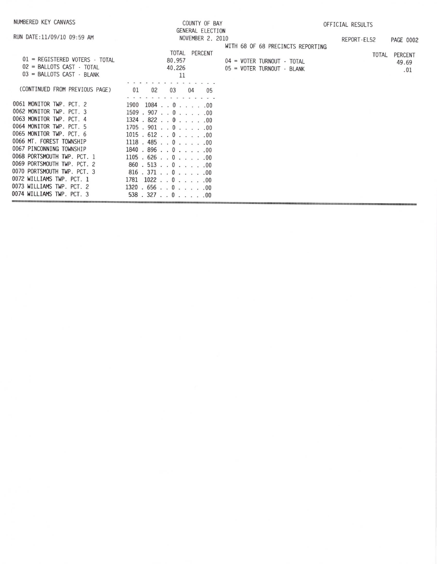| NUMBERED KEY CANVASS                                                                                                                                                                                                                                                                                                                                                                 | COUNTY OF BAY                                                                                                                                                                                                                                                                                       | OFFICIAL RESULTS                                         |             |                         |  |  |
|--------------------------------------------------------------------------------------------------------------------------------------------------------------------------------------------------------------------------------------------------------------------------------------------------------------------------------------------------------------------------------------|-----------------------------------------------------------------------------------------------------------------------------------------------------------------------------------------------------------------------------------------------------------------------------------------------------|----------------------------------------------------------|-------------|-------------------------|--|--|
| RUN DATE:11/09/10 09:59 AM                                                                                                                                                                                                                                                                                                                                                           | <b>GENERAL ELECTION</b><br>NOVEMBER 2, 2010                                                                                                                                                                                                                                                         | WITH 68 OF 68 PRECINCTS REPORTING                        | REPORT-EL52 | PAGE 0002               |  |  |
| 01 = REGISTERED VOTERS - TOTAL<br>$02$ = BALLOTS CAST $\cdot$ TOTAL<br>03 = BALLOTS CAST - BLANK                                                                                                                                                                                                                                                                                     | TOTAL PERCENT<br>80.957<br>40,226<br>11                                                                                                                                                                                                                                                             | 04 = VOTER TURNOUT - TOTAL<br>05 = VOTER TURNOUT - BLANK | TOTAL       | PERCENT<br>49.69<br>.01 |  |  |
| (CONTINUED FROM PREVIOUS PAGE)                                                                                                                                                                                                                                                                                                                                                       | 02<br>01<br>03<br>04<br>05                                                                                                                                                                                                                                                                          |                                                          |             |                         |  |  |
| 0061 MONITOR TWP. PCT. 2<br>0062 MONITOR TWP. PCT. 3<br>0063 MONITOR TWP. PCT. 4<br>0064 MONITOR TWP. PCT. 5<br>0065 MONITOR TWP. PCT. 6<br>0066 MT. FOREST TOWNSHIP<br>0067 PINCONNING TOWNSHIP<br>0068 PORTSMOUTH TWP. PCT. 1<br>0069 PORTSMOUTH TWP. PCT. 2<br>0070 PORTSMOUTH TWP. PCT. 3<br>0072 WILLIAMS TWP. PCT. 1<br>0073 WILLIAMS TWP. PCT. 2<br>0074 WILLIAMS TWP. PCT. 3 | 1900<br>$1084$ 0 00<br>1509.907.00.000<br>1324.822.0.0.0.00<br>1705.901.00.000<br>1015 . 612 0 00<br>$1118 + 485 + 0 + \ldots 00$<br>1840.896.00.000<br>1105 . 626 0 00<br>860.513.00.000<br>816 . 371 0 00<br>$1781$ $1022$ $\ldots$ 0 $\ldots$ $\ldots$ 00<br>1320.656.00.000<br>538.327.0.0.0.00 |                                                          |             |                         |  |  |